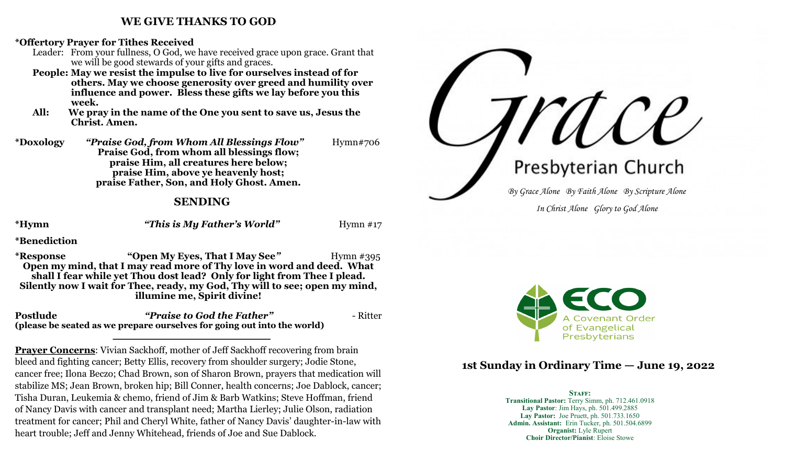#### **WE GIVE THANKS TO GOD**

**\*Offertory Prayer for Tithes Received**

- Leader: From your fullness, O God, we have received grace upon grace. Grant that we will be good stewards of your gifts and graces.
- **People: May we resist the impulse to live for ourselves instead of for others. May we choose generosity over greed and humility over influence and power. Bless these gifts we lay before you this week.**
- **All: We pray in the name of the One you sent to save us, Jesus the Christ. Amen.**
- **\*Doxology** *"Praise God, from Whom All Blessings Flow"* Hymn#706 **Praise God, from whom all blessings flow; praise Him, all creatures here below; praise Him, above ye heavenly host; praise Father, Son, and Holy Ghost. Amen.**

### **SENDING**

**\*Hymn** *"This is My Father's World"*Hymn #17

**\*Benediction**

**\*Response "Open My Eyes, That I May See***"*Hymn #395 **Open my mind, that I may read more of Thy love in word and deed. What shall I fear while yet Thou dost lead? Only for light from Thee I plead. Silently now I wait for Thee, ready, my God, Thy will to see; open my mind, illumine me, Spirit divine!**

**Postlude** *"Praise to God the Father"* - Ritter **(please be seated as we prepare ourselves for going out into the world) \_\_\_\_\_\_\_\_\_\_\_\_\_\_\_\_\_\_\_\_\_\_\_\_**

**Prayer Concerns**: Vivian Sackhoff, mother of Jeff Sackhoff recovering from brain bleed and fighting cancer; Betty Ellis, recovery from shoulder surgery; Jodie Stone, cancer free; Ilona Beczo; Chad Brown, son of Sharon Brown, prayers that medication will stabilize MS; Jean Brown, broken hip; Bill Conner, health concerns; Joe Dablock, cancer; Tisha Duran, Leukemia & chemo, friend of Jim & Barb Watkins; Steve Hoffman, friend of Nancy Davis with cancer and transplant need; Martha Lierley; Julie Olson, radiation treatment for cancer; Phil and Cheryl White, father of Nancy Davis' daughter-in-law with heart trouble; Jeff and Jenny Whitehead, friends of Joe and Sue Dablock.

Presbyterian Church *By Grace Alone By Faith Alone By Scripture Alone In Christ Alone Glory to God Alone*



# **1st Sunday in Ordinary Time — June 19, 2022**

#### STAFF: **Transitional Pastor:** Terry Simm, ph. 712.461.0918 **Lay Pastor**: Jim Hays, ph. 501.499.2885 **Lay Pastor:** Joe Pruett, ph. 501.733.1650 **Admin. Assistant:** Erin Tucker, ph. 501.504.6899 **Organist:** Lyle Rupert **Choir Director/Pianist**: Eloise Stowe